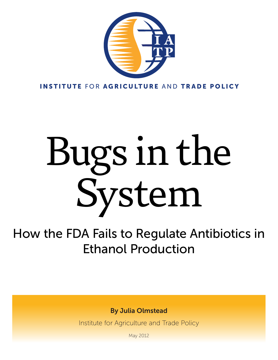

INSTITUTE FOR AGRICULTURE AND TRADE POLICY

# Bugs in the System

How the FDA Fails to Regulate Antibiotics in Ethanol Production

By Julia Olmstead

Institute for Agriculture and Trade Policy

May 2012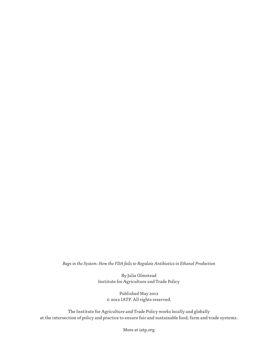*Bugs in the System: How the FDA fails to Regulate Antibiotics in Ethanol Production*

By Julia Olmstead Institute for Agriculture and Trade Policy

> Published May 2012 © 2012 IATP. All rights reserved.

The Institute for Agriculture and Trade Policy works locally and globally at the intersection of policy and practice to ensure fair and sustainable food, farm and trade systems.

More at iatp.org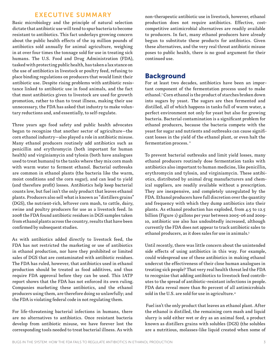## EXECUTIVE SUMMARY

Basic microbiology and the principle of natural selection dictate that antibiotic use will tend to spur bacteria to become resistant to antibiotics. This fact underlays growing concern about the public health effects of the 29 million pounds of antibiotics sold annually for animal agriculture, weighing in at over four times the tonnage sold for use in treating sick humans. The U.S. Food and Drug Administration (FDA), tasked with protecting public health, has taken a lax stance on the use of antibiotics in livestock or poultry feed, refusing to place binding regulations on producers that would limit their antibiotic use. Despite rising problems with antibiotic resistance linked to antibiotic use in food animals, and the fact that most antibiotics given to livestock are used for growth promotion, rather to than to treat illness, making their use unnecessary, the FDA has asked that industry to make voluntary reductions and, and essentially, to self-regulate.

Three years ago food safety and public health advocates began to recognize that another sector of agriculture—the corn ethanol industry—also played a role in antibiotic misuse. Many ethanol producers routinely add antibiotics such as penicillin and erythromycin (both important for human health) and virginiamycin and tylosin (both have analogues used to treat humans) to the tanks where they mix corn mash with warm water to ferment ethanol. Bacterial outbreaks are common in ethanol plants (the bacteria like the warm, moist conditions and the corn sugar), and can lead to yield (and therefore profit) losses. Antibiotics help keep bacterial counts low, but fuel isn't the only product that leaves ethanol plants. Producers also sell what is known as "distillers grains" (DGS), the nutrient-rich, leftover corn mash, to cattle, dairy, swine and poultry producers for use as a livestock feed. In 2008 the FDA found antibiotic residues in DGS samples taken from ethanol plants across the country, results that have been confirmed by subsequent studies.

As with antibiotics added directly to livestock feed, the FDA has not restricted the marketing or use of antibiotics in ethanol production, nor have they prohibited or limited sales of DGS that are contaminated with antibiotic residues. The FDA has ruled, however, that antibiotics used in ethanol production should be treated as food additives, and thus require FDA approval before they can be used. This IATP report shows that the FDA has not enforced its own ruling. Companies marketing these antibiotics, and the ethanol producers using them, are therefore doing so unlawfully; and the FDA is violating federal code in not regulating them.

For life-threatening bacterial infections in humans, there are no alternatives to antibiotics. Once resistant bacteria develop from antibiotic misuse, we have forever lost the corresponding tools needed to treat bacterial illness. As with

non-therapeutic antibiotic use in livestock, however, ethanol production does not require antibiotics. Effective, costcompetitive antimicrobial alternatives are readily available to producers. In fact, many ethanol producers have already begun to substitute these products for antibiotics. Given these alternatives, and the very real threat antibiotic misuse poses to public health, there is no good argument for their continued use.

## Background

For at least two decades, antibiotics have been an important component of the fermentation process used to make ethanol.1 Corn ethanol is the product of starches broken down into sugars by yeast. The sugars are then fermented and distilled, all of which happens in tanks full of warm water, a perfect environment not only for yeast but also for growing bacteria. Bacterial contamination is a significant problem for ethanol producers, because the bacteria compete with the yeast for sugar and nutrients and outbreaks can cause significant losses in the yield of the ethanol plant, or even halt the fermentation process. 2

To prevent bacterial outbreaks and limit yield losses, many ethanol producers routinely dose fermentation tanks with antibiotics also important to human medicine, like penicillin, erythromycin and tylosin, and virginiamycin. These antibiotics, distributed by animal drug manufacturers and chemical suppliers, are readily available without a prescription. They are inexpensive, and completely unregulated by the FDA. Ethanol producers have full discretion over the quantity and frequency with which they dump antibiotics into their plants. As ethanol production has exploded, from 4.5 to 12.5 billion (Figure 1) gallons per year between 2005-06 and 2009- 10, antibiotic use also has undoubtedly increased, although currently the FDA does not appear to track antibiotic sales to ethanol producers, as it does sales for use in animals.3

Until recently, there was little concern about the unintended side effects of using antibiotics in this way. For example, could widespread use of these antibiotics in making ethanol undercut the effectiveness of their close human analogues in treating sick people? That very real health threat led the FDA to recognize that adding antibiotics to livestock feed contributes to the spread of antibiotic-resistant infections in people. FDA data reveal more than 80 percent of all antimicrobials sold in the U.S. are sold for use in agriculture.<sup>4</sup>

 Fuel isn't the only product that leaves an ethanol plant. After the ethanol is distilled, the remaining corn mash and liquid slurry is sold either wet or dry as an animal feed, a product known as distillers grains with solubles (DGS) (the solubles are a nutritious, molasses-like liquid created when some of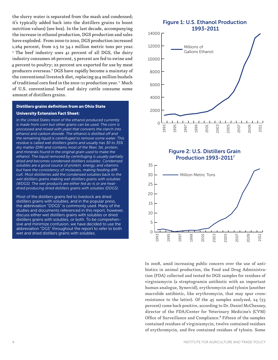the slurry water is separated from the mash and condensed; it's typically added back into the distillers grains to boost nutrition values) (see box). In the last decade, accompanying the increase in ethanol production, DGS production and sales have exploded. From 2000 to 2010, DGS production increased 1,264 percent, from 2.5 to 34.1 million metric tons per year. <sup>5</sup> The beef industry uses 41 percent of all DGS, the dairy industry consumes 26 percent, 5 percent are fed to swine and 4 percent to poultry; 22 percent are exported for use by meat producers overseas.6 DGS have rapidly become a mainstay of the conventional livestock diet, replacing 914 million bushels of traditional corn feed in the 2010-11 production year. 7 Much of U.S. conventional beef and dairy cattle consume some amount of distillers grains.

#### Distillers grains definition from an Ohio State University Extension Fact Sheet:

*In the United States most of the ethanol produced currently is made from corn but other grains can be used. The corn is processed and mixed with yeast that converts the starch into ethanol and carbon dioxide. The ethanol is distilled off and the remaining liquid is centrifuged to remove some water. This residue is called wet distillers grains and usually has 30 to 35% dry matter (DM) and contains most of the fiber, fat, protein, and minerals found in the original grain used to make the ethanol. The liquid removed by centrifuging is usually partially dried and becomes condensed distillers solubles. Condensed solubles are a good source of protein, energy, and vitamins but have the consistency of molasses, making feeding difficult. Most distilleries add the condensed solubles back to the wet distillers grains making wet distillers grains with solubles (WDGS). The wet products are either fed as-is or are heatdried producing dried distillers grains with solubles (DDGS).*

Most of the distillers grains fed to livestock are dried distillers grains with solubles, and in the popular press, the abbreviation "DDGS" is commonly used. Many of the studies and documents referenced in this report, however, discuss either wet distillers grains with solubles or dried distillers grains with solubles, or both. To be comprehensive and minimize confusion, we have decided to use the abbreviation "DGS" throughout the report to refer to both wet and dried distillers grains with solubles.

# Figure 1: U.S. Ethanol Production 1993-2011 8000 10000 12000 14000 Millions of Gallons Ethanol



1993

0

2000

4000

6000

1995

1997

1999

2001

2003

2005

2007

2009

2011

In 2008, amid increasing public concern over the use of antibiotics in animal production, the Food and Drug Administration (FDA) collected and tested 60 DGS samples for residues of virginiamycin (a streptogramin antibiotic with an important human analogue, Synercid), erythromycin and tylosin (another macrolide antibiotic, like erythromycin, that may spur crossresistance to the latter). Of the  $45$  samples analyzed,  $24$  (53) percent) came back positive, according to Dr. Daniel McChesney, director of the FDA/Center for Veterinary Medicine's (CVM) Office of Surveillance and Compliance.<sup>8</sup> Fifteen of the samples contained residues of virginiamycin, twelve contained residues of erythromycin, and five contained residues of tylosin. Some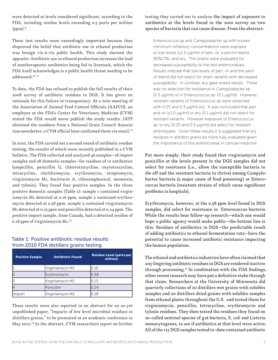were detected at levels considered significant, according to the FDA, including residue levels exceeding 0.5 parts per million  $(ppm).9$ 

These test results were exceedingly important because they disproved the belief that antibiotic use in ethanol production was benign vis-à-vis public health. This study showed the opposite: Antibiotic use in ethanol production increases the load of nontherapeutic antibiotics being fed to livestock, which the FDA itself acknowledges is a public health threat needing to be addressed.<sup>10, 11</sup>

To date, the FDA has refused to publish the full results of their 2008 survey of antibiotic residues in DGS. It has given no rationale for this failure in transparency. At a 2010 meeting of the Association of Animal Feed Control Officials (AAFCO), an employee at the FDA's Center for Veterinary Medicine (CVM) stated the FDA would never publish the study results. IATP obtained the numbers from a National Grain Council Association newsletter: a CVM official later confirmed them via email.<sup>12</sup>

In 2010, the FDA carried out a second round of antibiotic residue testing, the results of which were recently published in a CVM bulletin. The FDA collected and analyzed 46 samples—18 import samples and 28 domestic samples—for residues of 12 antibiotics (ampicillin, penicillin G, chlortetracycline, oxytetracycline, tetracycline, clarithromycin, erythromycin, streptomycin, virginiamycin M1, bacitracin A, chloramphenicol, monensin, and tylosin). They found four positive samples. In the three positive domestic samples (Table 1): sample 1 contained virginiamycin M1 detected at 0.16 ppm, sample 2 contained erythromycin detected at 0.58 ppm, sample 3 contained virginiamycin M1 detected at 0.15 ppm and penicillin detected at 0.24 ppm. The positive import sample, from Canada, had a detected residue of 0.18 ppm of virginiamycin M1.13

#### Table 1: Positive antibiotic residue results from 2010 FDA distillers grains testing

| <b>Positive Sample</b> | <b>Antibiotic Found</b> | <b>Residue Level (parts per</b><br>million) |
|------------------------|-------------------------|---------------------------------------------|
|                        | Virginiamycin M1        | 0.16                                        |
|                        | Erythromycin            | 0.58                                        |
|                        | Virginiamycin M1        | 0.15                                        |
|                        | Penicillin              | 0.24                                        |
| <b>Import</b>          | Virginiamycin M1        | ).18                                        |

These results were also reported in an abstract for an as-yet unpublished paper, "Impacts of low level microbial residues in distillers grains," to be presented at an academic conference in May 2012.14 In the abstract, CVM researchers report on further

#### testing they carried out to analyze the impact of exposure to antibiotics at the levels found in the 2010 survey on two species of bacteria that can cause disease. From the abstract:

Enterococcus sp and Campylobacter sp with known minimum inhibitory concentrations were exposed to low levels (≤1.0 µg/ml) of pen, vir, a pen/vir blend (93%/7%), and ery. The strains were evaluated for decreased susceptibility to the test antimicrobials. Results indicate that low levels of pen, vir and the pen/ vir blend did not select for strain variants with decreased susceptibility. In contrast, ery gave mixed results. There was no selection for resistance in Campylobacter sp. (0.5 µg/ml) or in Enterococcus sp. (0.1 µg/ml). However, resistant variants of Enterococcus sp were observed with 0.25 and 0.5 µg/ml ery. It was concluded that pen and vir (≤1.0 µg/ml) or ery (0.1 µg/ml) did not select for resistant variants. However exposure of Enterococcus sp. to ery (0.25 and 0.5 µg/ml) did select for resistant phenotypes. Given these results it is suggested that ery residues in distillers grains be more fully evaluated given the importance of this antimicrobial in clinical medicine.

Put more simply, their study found that virginiamycin and penicillin at the levels present in the DGS samples did not select for resistance (i.e., allow the susceptible bacteria to die off and the resistant bacteria to thrive) among Campylobacter bacteria (a major cause of food poisoning) or Enterococcus bacteria (resistant strains of which cause significant problems in hospitals).

Erythromycin, however, at the 0.58 ppm level found in DGS samples, did select for resistance in Enterococcus bacteria. While the results bear follow-up research—which one would hope a public agency would make public—the bottom line is this: Residues of antibiotics in DGS—the predictable result of adding antibiotics to ethanol fermentation vats—have the potential to cause increased antibiotic resistance impacting the human population.

The ethanol and antibiotics industries have often claimed that any lingering antibiotic residues in DGS are rendered inactive through processing.<sup>15</sup> In combination with the FDA findings, other recent research may have put a definitive stake through that claim. Researchers at the University of Minnesota did quarterly collections of 20 distillers wet grains with solubles samples and 20 distillers dried grains with solubles samples from ethanol plants throughout the U.S. and tested them for virginiamycin, penicillin, tetracycline, erythromycin and tylosin residues. They then tested the residues they found on so-called sentinel species of gut bacteria, E. coli and Listeria monocytogenes, to see if antibiotics at that level were active. All of the 117 DGS samples tested to-date contained antibiotic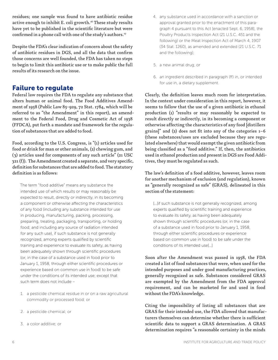residues; one sample was found to have antibiotic residue active enough to inhibit E. coli growth.<sup>16</sup> These study results have yet to be published in the scientific literature but were confirmed in a phone call with one of the study's authors.<sup>17</sup>

Despite the FDA's clear indication of concern about the safety of antibiotic residues in DGS, and all the data that confirm those concerns are well founded, the FDA has taken no steps to begin to limit this antibiotic use or to make public the full results of its research on the issue.

# Failure to regulate

Federal law requires the FDA to regulate any substance that alters human or animal food. The Food Additives Amendment of 1958 (Public Law 85-929, 72 Stat. 1784, which will be referred to as "the Amendment" in this report), an amendment to the Federal Food, Drug and Cosmetic Act of 1938 (FFDCA), put forth a mandate and framework for the regulation of substances that are added to food.

Food, according to the U.S. Congress, is "(1) articles used for food or drink for man or other animals, (2) chewing gum, and (3) articles used for components of any such article" (21 USC 321 (f)). The Amendment created a separate, and very specific, definition for substances that are added to food. The statutory definition is as follows:

The term "food additive" means any substance the intended use of which results or may reasonably be expected to result, directly or indirectly, in its becoming a component or otherwise affecting the characteristics of any food (including any substance intended for use in producing, manufacturing, packing, processing, preparing, treating, packaging, transporting, or holding food; and including any source of radiation intended for any such use), if such substance is not generally recognized, among experts qualified by scientific training and experience to evaluate its safety, as having been adequately shown through scientific procedures (or, in the case of a substance used in food prior to January 1, 1958, through either scientific procedures or experience based on common use in food) to be safe under the conditions of its intended use; except that such term does not include –

- 1. a pesticide chemical residue in or on a raw agricultural commodity or processed food; or
- 2. a pesticide chemical; or
- 3. a color additive; or
- 4. any substance used in accordance with a sanction or approval granted prior to the enactment of this paragraph 4 pursuant to this Act [enacted Sept. 6, 1958], the Poultry Products Inspection Act (21 U.S.C. 451 and the following) or the Meat Inspection Act of March 4, 1907 (34 Stat. 1260), as amended and extended (21 U.S.C. 71 and the following);
- 5. a new animal drug; or
- 6. an ingredient described in paragraph (ff) in, or intended for use in, a dietary supplement.

Clearly, the definition leaves much room for interpretation. In the context under consideration in this report, however, it seems to follow that the use of a given antibiotic in ethanol production (1) "results or may reasonably be expected to result directly or indirectly, in its becoming a component or otherwise affecting the characteristics of any food [distillers grains]" and (2) does not fit into any of the categories 1–6 (these substances/uses are excluded because they are regulated elsewhere) that would exempt the given antibiotic from being classified as a "food additive." If, then, the antibiotics used in ethanol production and present in DGS are Food Additives, they must be regulated as such.

The law's definition of a food additive, however, leaves room for another mechanism of exclusion (and regulation), known as "generally recognized as safe" (GRAS), delineated in this section of the statement:

[...]if such substance is not generally recognized, among experts qualified by scientific training and experience to evaluate its safety, as having been adequately shown through scientific procedures (or, in the case of a substance used in food prior to January 1, 1958, through either scientific procedures or experience based on common use in food) to be safe under the conditions of its intended use[…]

Soon after the Amendment was passed in 1958, the FDA created a list of food substances that were, when used for the intended purposes and under good manufacturing practices, generally recognized as safe. Substances considered GRAS are exempted by the Amendment from the FDA approval requirement, and can be marketed for and used in food without the FDA's knowledge.

Citing the impossibility of listing all substances that are GRAS for their intended use, the FDA allowed that manufacturers themselves can determine whether there is sufficient scientific data to support a GRAS determination. A GRAS determination requires "a reasonable certainty in the minds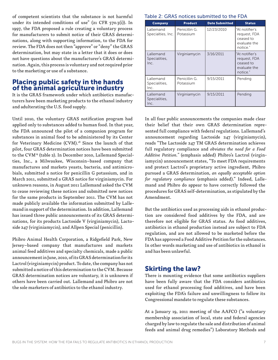of competent scientists that the substance is not harmful under its intended conditions of use" (21 CFR 570.3(i)). In 1997, the FDA proposed a rule creating a voluntary process for manufacturers to submit notice of their GRAS determinations, along with supporting information, to the FDA for review. The FDA does not then "approve" or "deny" the GRAS determination, but may state in a letter that it does or does not have questions about the manufacturer's GRAS determination. Again, this process is voluntary and not required prior to the marketing or use of a substance.

# Placing public safety in the hands of the animal agriculture industry

It is the GRAS framework under which antibiotics manufacturers have been marketing products to the ethanol industry and adulterating the U.S. food supply.

Until 2010, the voluntary GRAS notification program had applied only to substances added to human food. In that year, the FDA announced the pilot of a companion program for substances in animal food to be administered by its Center for Veterinary Medicine (CVM).<sup>18</sup> Since the launch of that pilot, four GRAS determination notices have been submitted to the CVM19 (table 2). In December 2010, Lallemand Specialties, Inc., a Milwaukee, Wisconsin–based company that manufactures and markets yeasts, bacteria, and antimicrobials, submitted a notice for penicillin G potassium, and in March 2011, submitted a GRAS notice for virginiamycin. For unknown reasons, in August 2011 Lallemand asked the CVM to cease reviewing these notices and submitted new notices for the same products in September 2011. The CVM has not made publicly available the information submitted by Lallemand in support of the determination. In addition, Lallemand has issued three public announcements of its GRAS determinations, for its products Lactoside V (virginiamycin), Lactoside 247 (virginiamycin), and Allpen Special (penicillin).

Phibro Animal Health Corporation, a Ridgefield Park, New Jersey–based company that manufactures and markets animal feed additives and specialty chemicals, made a public announcement in June, 2010, of its GRAS determination for its Lactrol (virginiamycin) product. To date, the company has not submitted a notice of this determination to the CVM. Because GRAS determination notices are voluntary, it is unknown if others have been carried out. Lallemand and Phibro are not the sole marketers of antibiotics to the ethanol industry.

## Table 2: GRAS notices submitted to the FDA

| Company                            | <b>Product</b>             | <b>Date Submitted</b> | <b>Status</b>                                                           |  |  |
|------------------------------------|----------------------------|-----------------------|-------------------------------------------------------------------------|--|--|
| Lallemand<br>Specialties, Inc.     | Penicillin G.<br>Potassium | 12/23/2010            | "At notifier's<br>request, FDA<br>ceased to<br>evaluate the<br>notice." |  |  |
| Lallemand<br>Specialities,<br>Inc. | Virginiamycin              | 3/16/2011             | "At notifier's<br>request, FDA<br>ceased to<br>evaluate the<br>notice." |  |  |
| Lallemand<br>Specialities,<br>Inc. | Penicillin G.<br>Potassium | 9/15/2011             | Pending                                                                 |  |  |
| Lallemand<br>Specialities,<br>Inc. | Virginiamycin              | 9/15/2011             | Pending                                                                 |  |  |

In all four public announcements the companies made clear their belief that their own GRAS determination represented full compliance with federal regulations. Lallemand's announcement regarding Lactoside 247 (virginiamycin), reads "The Lactoside 247 TM GRAS determination achieves full regulatory compliance and *obviates the need for a Food Additive Petition."* (emphasis added) Phibro's Lactrol (virginiamycin) announcement states, "To meet FDA requirements and protect Lactrol's proprietary active ingredient, Phibro pursued a GRAS determination, *an equally acceptable option for regulatory compliance* (emphasis added)." Indeed, Lallemand and Phibro do appear to have correctly followed the procedures for GRAS self-determination, as stipulated by the Amendment.

But the antibiotics used as processing aids in ethanol production are considered food additives by the FDA, and are therefore not eligible for GRAS status. As food additives, antibiotics in ethanol production instead are subject to FDA regulation, and are not allowed to be marketed before the FDA has approved a Food Additive Petition for the substances. In other words marketing and use of antibiotics in ethanol is and has been unlawful.

# Skirting the law?

There is mounting evidence that some antibiotics suppliers have been fully aware that the FDA considers antibiotics used for ethanol processing food additives, and have been exploiting the FDA's failure and unwillingness to follow its Congressional mandate to regulate these substances.

At a January 19, 2011 meeting of the AAFCO ("a voluntary membership association of local, state and federal agencies charged by law to regulate the sale and distribution of animal feeds and animal drug remedies") Laboratory Methods and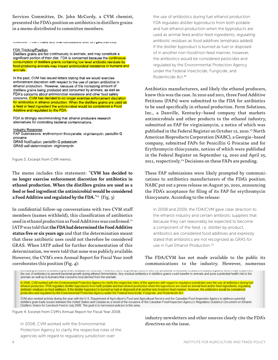Services Committee, Dr. John McCurdy, a CVM chemist, presented the FDA's position on antibiotics in distillers grains in a memo distributed to committee members.

**CONDUCTS:** I Can't make any miar continuolons and CIT gots the line)

#### **FDA Thinking/Position**

Distillers grains are fed continuously to animals, and may constitute a significant portion of their diet. FDA is concerned because the continuous consumption of distillers grains containing low level antibiotic residues by food-producing animals may impact antimicrobial resistance in humans and animals.

In the past, CVM has issued letters stating that we would exercise enforcement discretion with respect to the use of certain antibiotics in ethanol production. However, because of the increasing amount of distillers grains being produced and consumed by animals, as well as FDA's concerns about antimicrobial resistance and other food safety concerns, CVM has decided to no longer exercise enforcement discretion for antibiotics in ethanol production. When the distillers grains are used as a feed or feed ingredient the antimicrobial would be considered a Food Additive and regulated by the FDA.

FDA is strongly recommending that athanol producers research alternatives for controlling bacterial contaminations.

**Industry Response** 

FAP Submissions: erythromycin thiocyanate; virginiamycin; penicillin G procaine GRAS Notification: penicillin G potassium GRAS self-determination: virginiamycin

Figure 3: Excerpt from CVM memo.

The memo includes this statement: "**CVM has decided to no longer exercise enforcement discretion for antibiotics in ethanol production. When the distillers grains are used as a feed or feed ingredient the antimicrobial would be considered a Food Additive and regulated by the FDA.**"20 (Fig. 3)

In confidential follow-up conversations with two CVM staff members (names withheld), this classification of antibiotics used in ethanol production as Food Additives was confirmed.<sup>21</sup> IATP was told that **the FDA had determined the Food Additive status five or six years ago** and that the determination meant that these antibiotic uses could not therefore be considered GRAS. When IATP asked for further documentation of this determination, we were told that none was publicly available. However, the CVM's own Annual Report for Fiscal Year 2008 corroborates this position (Fig. 4):

the use of antibiotics during fuel ethanol production. FDA regulates distiller byproducts from both potable and fuel ethanol production when the byproducts are used as animal feed and/or feed ingredients, *regulating antibiotic residues as food additives* (emphasis added). If the distiller byproduct is burned as fuel or disposed of in another non-food/non-feed manner, however, the antibiotics would be considered pesticides and regulated by the Environmental Protection Agency under the Federal Insecticide, Fungicide, and Rodenticide Act.<sup>22</sup>

Antibiotics manufacturers, and likely the ethanol producers, knew this was the case. In 2010 and 2011, three Food Additive Petitions (FAPs) were submitted to the FDA for antibiotics to be used specifically in ethanol production. Ferm Solutions, Inc., a Danville, Kentucky–based company that markets antimicrobials and other products to the ethanol industry, submitted an FAP for virginiamycin, a notice of which was published in the Federal Register on October 12, 2010.<sup>23</sup> North American Bioproducts Corporation (NABC), a Georgia–based company, submitted FAPs for Penicillin G Procaine and for Erythromycin thiocyanate, notices of which were published in the Federal Register on September 14, 2010 and April 25, 2011, respectively.<sup>24</sup> Decisions on these FAPs are pending.

These FAP submissions were likely prompted by communications to antibiotics manufacturers of the FDA's position. NABC put out a press release on August 30, 2010, announcing the FDA's acceptance for filing of its FAP for erythromycin thiocyanate. According to the release:

In 2008 and 2009, the FDA/CVM gave clear direction to the ethanol industry and certain antibiotic suppliers that because they can reasonably be expected to become a component of the feed, i.e. distiller by-product, antibiotics are considered food additives and expressly stated that antibiotics are not recognized as GRAS for use in Fuel Ethanol Production.25

The FDA/CVM has not made available to the public its communications to the industry. However, numerous

. . . . . . . . . . . . . . . the use of antibiotics to prevent bacterial growth during ethanol fermentation. Any residual antibiotics in distillers grains could transfer to animals and pose a potential health risk to the animals as well as to humans that consume food derived from the animals.

In 2008, CVM worked with the Environmental Protection Agency to clarify the respective roles of the agencies with regard to regulatory jurisdiction over the use of antibiotics during fuel In 2008, CVM worked with the Environmental Protection Agency to clarify the respective roles of the agencies with regard to regulatory jurisdiction over the use of antibiotics during further effinance of the considered and pesticides and regulated by the Environmental Protection Agency under the Federal Insecticide, Fungicide, and Rodenticide Act.

CVM also worked actively during the year with the U.S. Department of Agriculture's Food and Agricultural Service and the Canadian Food Inspection Agency to address potential distillers grain trade issues between the United States and Canada as a result of the issuance of the Canadian Food Inspection Agency's Regulatory Guidance Document on Ethanol Distillers Grains for Livestock Feed in July 2008. The goal is to harmonize policies in this area.

Figure 4: Excerpt from CVM's Annual Report for Fiscal Year 2008.

In 2008, CVM worked with the Environmental

Protection Agency to clarify the respective roles of the agencies with regard to regulatory jurisdiction over

industry newsletters and other sources clearly cite the FDA's directives on the issue.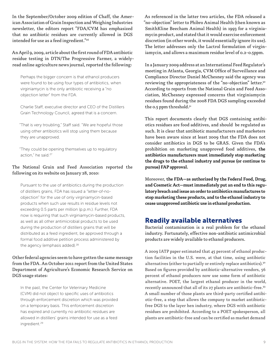In the September/October 2009 edition of Chaff, the American Association of Grain Inspection and Weighing Industries newsletter, the editors report "FDA/CVM has emphasized that no antibiotic residues are currently allowed in DGS intended for use as a feed ingredient."<sup>26</sup>

An April 9, 2009, article about the first round of FDA antibiotic residue testing in DTN/The Progressive Farmer, a widelyread online agriculture news journal, reported the following:

Perhaps the bigger concern is that ethanol producers were found to be using four types of antibiotics, when virginiamycin is the only antibiotic receiving a "no objection letter" from the FDA.

Charlie Staff, executive director and CEO of the Distillers Grain Technology Council, agreed that is a concern.

"That is very troubling," Staff said. "We are hopeful those using other antibiotics will stop using them because they are unapproved.

"They could be opening themselves up to regulatory action," he said.<sup>27</sup>

#### The National Grain and Feed Association reported the following on its website on January 28, 2010:

Pursuant to the use of antibiotics during the production of distillers grains, FDA has issued a "letter-of-noobjection" for the use of only virginiamycin-based products when such use results in residue levels not exceeding 0.5 parts per million (p.p.m.). Further, FDA now is requiring that such virginiamycin-based products, as well as all other antimicrobial products to be used during the production of distillers grains that will be distributed as a feed ingredient, be approved through a formal food additive petition process administered by the agency (emphasis added).<sup>28</sup>

### Other federal agencies seem to have gotten the same message from the FDA. An October 2011 report from the United States Department of Agriculture's Economic Research Service on DGS usage states:

In the past, the Center for Veterinary Medicine (CVM) did not object to specific uses of antibiotics through enforcement discretion which was provided on a temporary basis. This enforcement discretion has expired and currently no antibiotic residues are allowed in distillers' grains intended for use as a feed ingredient.29

As referenced in the latter two articles, the FDA released a "no-objection" letter to Phibro Animal Health (then known as SmithKline Beecham Animal Health) in 1993 for a virginiamycin product, and stated that it would exercise enforcement discretion (in other words, it would essentially ignore its use). The letter addresses only the Lactrol formulation of virginiamycin, and allows a maximum residue level of 0.2-0.5ppm.

In a January 2009 address at an International Feed Regulator's meeting in Atlanta, Georgia, CVM Office of Surveillance and Compliance Director Daniel McChesney said the agency was reviewing the appropriateness of the "no-objection" letter.<sup>30</sup> According to reports from the National Grain and Feed Association, McChesney expressed concerns that virginiamycin residues found during the 2008 FDA DGS sampling exceeded the 0.5 ppm threshold.<sup>31</sup>

This report documents clearly that DGS containing antibiotics residues are food additives, and should be regulated as such. It is clear that antibiotic manufacturers and marketers have been aware since at least 2009 that the FDA does not consider antibiotics in DGS to be GRAS. Given the FDA's prohibition on marketing unapproved food additives, **the antibiotics manufacturers must immediately stop marketing the drugs to the ethanol industry and pursue (or continue to pursue) FAP approval.**

Moreover, **the FDA—as authorized by the Federal Food, Drug, and Cosmetic Act—must immediately put an end to this regulatory breach and issue an order to antibiotics manufactures to stop marketing these products, and to the ethanol industry to cease unapproved antibiotic use in ethanol production.**

# Readily available alternatives

Bacterial contamination is a real problem for the ethanol industry. Fortunately, effective non-antibiotic antimicrobial products are widely available to ethanol producers.

A 2009 IATP paper estimated that 45 percent of ethanol production facilities in the U.S. were, at that time, using antibiotic alternatives (either to partially or entirely replace antibiotics).<sup>32</sup> Based on figures provided by antibiotic-alternative vendors, 56 percent of ethanol producers now use some form of antibiotic alternative. POET, the largest ethanol producer in the world, recently announced that all of its 27 plants are antibiotic-free.<sup>33</sup> A small number of those plants are third-party certified antibiotic-free, a step that allows the company to market antibioticfree DGS to the layer hen industry, where DGS with antibiotic residues are prohibited. According to a POET spokesperson, all plants are antibiotic-free and can be certified as market demand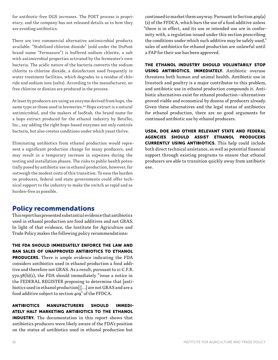for antibiotic-free DGS increases. The POET process is proprietary, and the company has not released details as to how they are avoiding antibiotics.

There are two commercial alternative antimicrobial products available. "Stabilized chlorine dioxide" (sold under the DuPont brand name "Fermasure") is buffered sodium chlorite, a salt with antimicrobial properties activated by the fermenter's own bacteria. The acidic nature of the bacteria converts the sodium chlorite to chlorine dioxide, a disinfectant used frequently in water treatment facilities, which degrades to a residue of chloride and sodium ions (salts). According to the manufacturer, no free chlorine or dioxins are produced in the process.

At least 65 producers are using an enzyme derived from hops, the same type as those used in breweries.34 Hops extract is a natural antimicrobial, and the makers of IsoStab, the brand name for a hops extract produced for the ethanol industry by BetaTec, Inc., say adding the right hops-based enzymes not only controls bacteria, but also creates conditions under which yeast thrive.

Eliminating antibiotics from ethanol production would represent a significant production change for many producers, and may result in a temporary increase in expenses during the testing and installation phases. The risks to public health potentially posed by antibiotic use in ethanol production, however, far outweigh the modest costs of this transition. To ease the burden on producers, federal and state governments could offer technical support to the industry to make the switch as rapid and as burden-free as possible.

# Policy recommendations

This report has presented substantial evidence that antibiotics used in ethanol production are food additives and not GRAS. In light of that evidence, the Institute for Agriculture and Trade Policy makes the following policy recommendations:

## THE FDA SHOULD IMMEDIATELY ENFORCE THE LAW AND BAN SALES OF UNAPPROVED ANTIBIOTICS TO ETHANOL

PRODUCERS. There is ample evidence indicating the FDA considers antibiotics used in ethanol production a food additive and therefore not GRAS. As a result, pursuant to 21 C.F.R. 570.38(b)(1), the FDA should immediately "issue a notice in the FEDERAL REGISTER proposing to determine that [antibiotics used in ethanol production] […] are not GRAS and are a food additive subject to section 409" of the FFDCA.

ANTIBIOTICS MANUFACTURERS SHOULD IMMEDI-ATELY HALT MARKETING ANTIBIOTICS TO THE ETHANOL INDUSTRY. The documentation in this report shows that antibiotics producers were likely aware of the FDA's position on the status of antibiotics used in ethanol production but

continued to market them anyway. Pursuant to Section 409(a) (2) of the FFDCA, which bars the use of a food additive unless "there is in effect, and its use or intended use are in conformity with, a regulation issued under this section prescribing the conditions under which such additive may be safely used," sales of antibiotics for ethanol production are unlawful until a FAP for their use has been approved.

THE ETHANOL INDUSTRY SHOULD VOLUNTARILY STOP USING ANTIBIOTICS. IMMEDIATELY. Antibiotic overuse threatens both human and animal health. Antibiotic use in livestock and poultry is a major contributor to this problem, and antibiotic use in ethanol production compounds it. Antibiotic alternatives exist for ethanol production—alternatives proved viable and economical by dozens of producers already. Given these alternatives and the legal status of antibiotics for ethanol production, there are no good arguments for continued antibiotic use by ethanol producers.

USDA, DOE AND OTHER RELEVANT STATE AND FEDERAL AGENCIES SHOULD ASSIST ETHANOL PRODUCERS CURRENTLY USING ANTIBIOTICS. This help could include both direct technical assistance, as well as potential financial support through existing programs to ensure that ethanol producers are able to transition quickly away from antibiotic use.